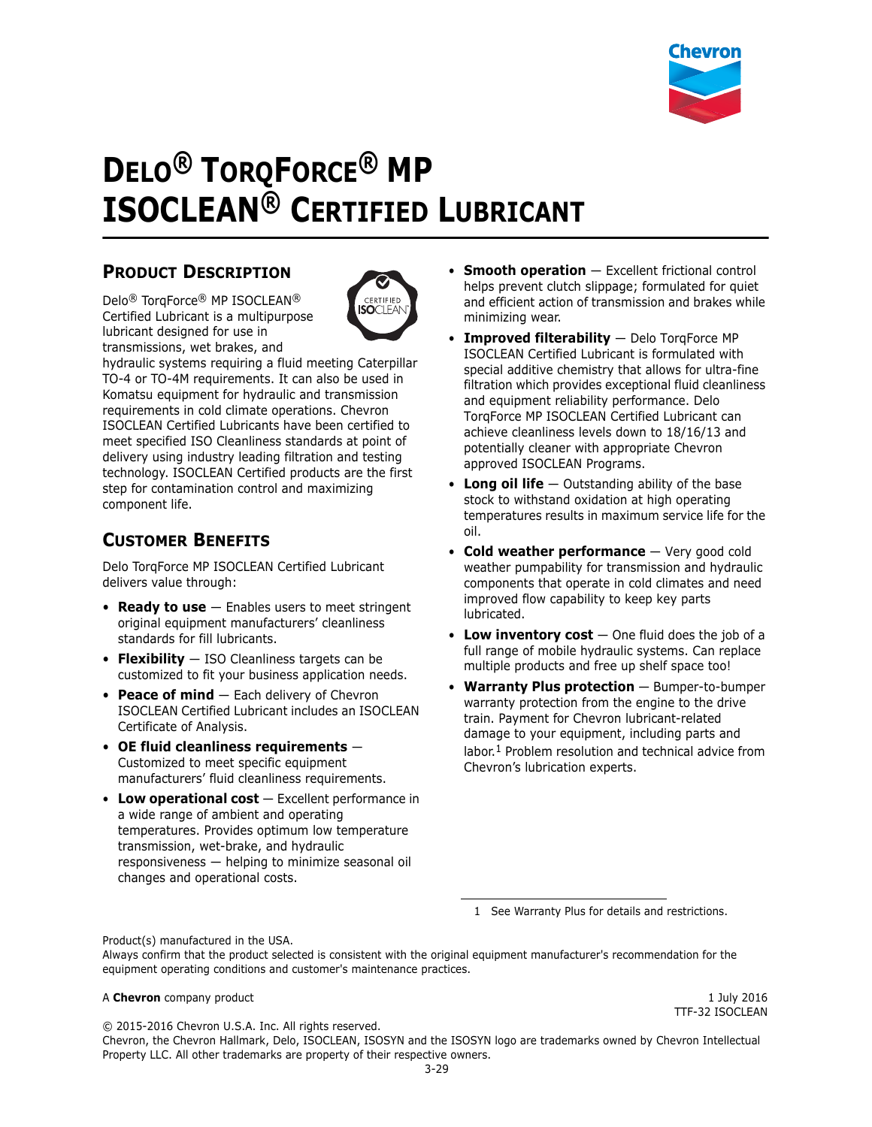

# **DELO® TORQFORCE® MP ISOCLEAN® CERTIFIED LUBRICANT**

# **PRODUCT DESCRIPTION**

Delo® TorqForce® MP ISOCLEAN® Certified Lubricant is a multipurpose lubricant designed for use in transmissions, wet brakes, and



hydraulic systems requiring a fluid meeting Caterpillar TO-4 or TO-4M requirements. It can also be used in Komatsu equipment for hydraulic and transmission requirements in cold climate operations. Chevron ISOCLEAN Certified Lubricants have been certified to meet specified ISO Cleanliness standards at point of delivery using industry leading filtration and testing technology. ISOCLEAN Certified products are the first step for contamination control and maximizing component life.

# **CUSTOMER BENEFITS**

Delo TorqForce MP ISOCLEAN Certified Lubricant delivers value through:

- **Ready to use** Enables users to meet stringent original equipment manufacturers' cleanliness standards for fill lubricants.
- **Flexibility** ISO Cleanliness targets can be customized to fit your business application needs.
- **Peace of mind** Each delivery of Chevron ISOCLEAN Certified Lubricant includes an ISOCLEAN Certificate of Analysis.
- **OE fluid cleanliness requirements** Customized to meet specific equipment manufacturers' fluid cleanliness requirements.
- Low operational cost Excellent performance in a wide range of ambient and operating temperatures. Provides optimum low temperature transmission, wet-brake, and hydraulic responsiveness — helping to minimize seasonal oil changes and operational costs.
- **Smooth operation** Excellent frictional control helps prevent clutch slippage; formulated for quiet and efficient action of transmission and brakes while minimizing wear.
- **Improved filterability** Delo TorqForce MP ISOCLEAN Certified Lubricant is formulated with special additive chemistry that allows for ultra-fine filtration which provides exceptional fluid cleanliness and equipment reliability performance. Delo TorqForce MP ISOCLEAN Certified Lubricant can achieve cleanliness levels down to 18/16/13 and potentially cleaner with appropriate Chevron approved ISOCLEAN Programs.
- **Long oil life** Outstanding ability of the base stock to withstand oxidation at high operating temperatures results in maximum service life for the oil.
- **Cold weather performance** Very good cold weather pumpability for transmission and hydraulic components that operate in cold climates and need improved flow capability to keep key parts lubricated.
- **Low inventory cost** One fluid does the job of a full range of mobile hydraulic systems. Can replace multiple products and free up shelf space too!
- **Warranty Plus protection** Bumper-to-bumper warranty protection from the engine to the drive train. Payment for Chevron lubricant-related damage to your equipment, including parts and labor.<sup>1</sup> Problem resolution and technical advice from Chevron's lubrication experts.

1 See Warranty Plus for details and restrictions.

Product(s) manufactured in the USA. Always confirm that the product selected is consistent with the original equipment manufacturer's recommendation for the equipment operating conditions and customer's maintenance practices.

#### A **Chevron** company product **1 A**  $\alpha$  **Chevron** company product **1 July 2016**

TTF-32 ISOCLEAN

© 2015-2016 Chevron U.S.A. Inc. All rights reserved. Chevron, the Chevron Hallmark, Delo, ISOCLEAN, ISOSYN and the ISOSYN logo are trademarks owned by Chevron Intellectual Property LLC. All other trademarks are property of their respective owners.